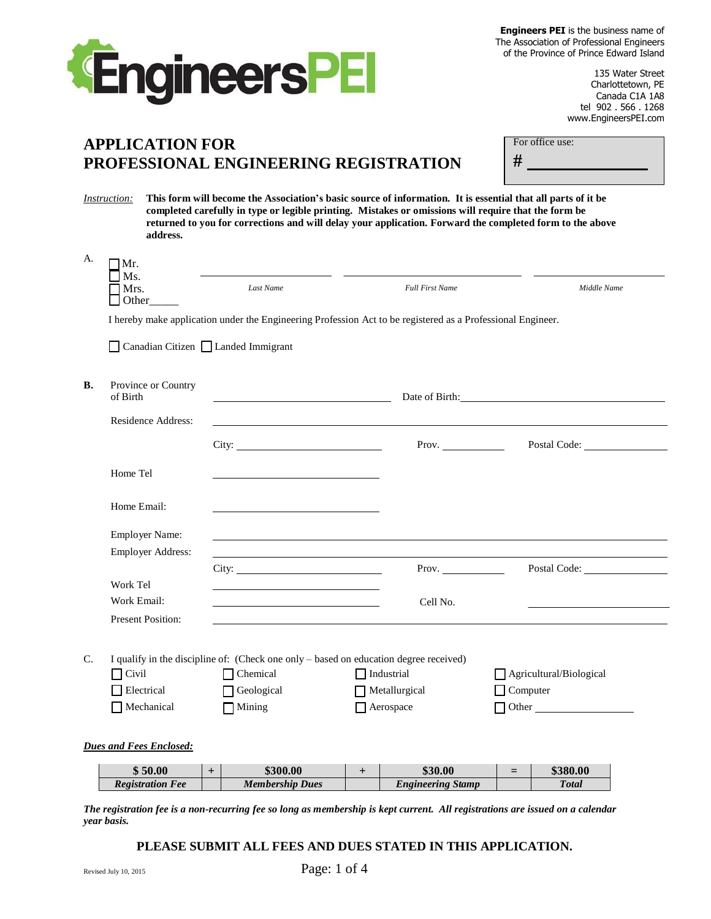



 $\Box$ 

 $\begin{array}{c} \square \\ \square \end{array}$ 

 $\begin{array}{c} \square \\ \square \end{array}$ 

 $\begin{array}{c} \square \\ \square \end{array}$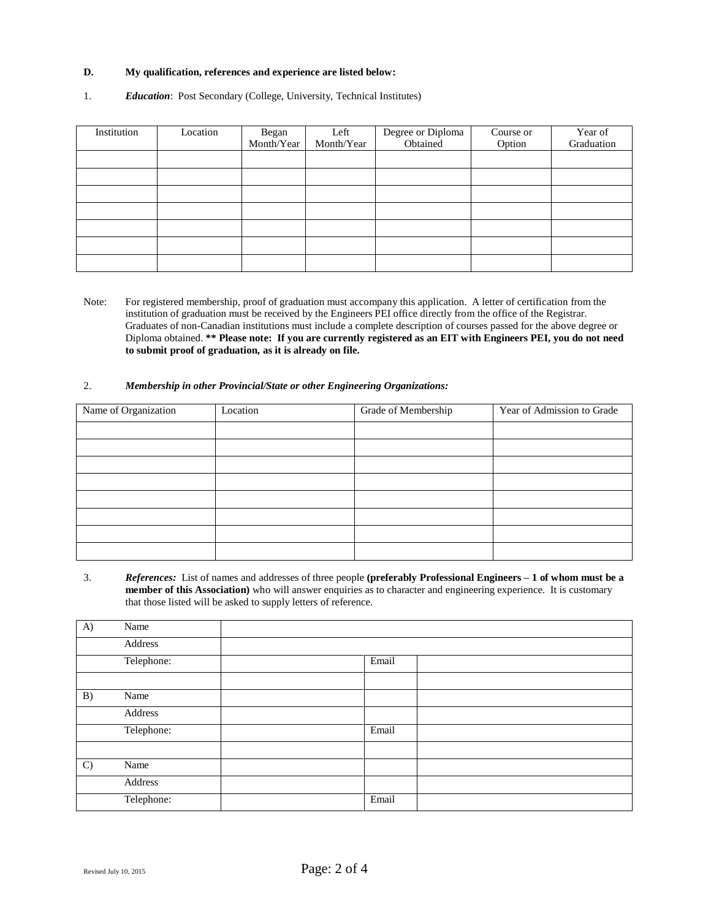# **D. My qualification, references and experience are listed below:**

## 1. *Education*: Post Secondary (College, University, Technical Institutes)

| Institution | Location | Began<br>Month/Year | Left<br>Month/Year | Degree or Diploma<br>Obtained | Course or<br>Option | Year of<br>Graduation |
|-------------|----------|---------------------|--------------------|-------------------------------|---------------------|-----------------------|
|             |          |                     |                    |                               |                     |                       |
|             |          |                     |                    |                               |                     |                       |
|             |          |                     |                    |                               |                     |                       |
|             |          |                     |                    |                               |                     |                       |
|             |          |                     |                    |                               |                     |                       |
|             |          |                     |                    |                               |                     |                       |
|             |          |                     |                    |                               |                     |                       |

Note: For registered membership, proof of graduation must accompany this application. A letter of certification from the institution of graduation must be received by the Engineers PEI office directly from the office of the Registrar. Graduates of non-Canadian institutions must include a complete description of courses passed for the above degree or Diploma obtained. **\*\* Please note: If you are currently registered as an EIT with Engineers PEI, you do not need to submit proof of graduation, as it is already on file.**

#### 2. *Membership in other Provincial/State or other Engineering Organizations:*

| Name of Organization | Location | Grade of Membership | Year of Admission to Grade |
|----------------------|----------|---------------------|----------------------------|
|                      |          |                     |                            |
|                      |          |                     |                            |
|                      |          |                     |                            |
|                      |          |                     |                            |
|                      |          |                     |                            |
|                      |          |                     |                            |
|                      |          |                     |                            |
|                      |          |                     |                            |

3. *References:* List of names and addresses of three people **(preferably Professional Engineers – 1 of whom must be a member of this Association)** who will answer enquiries as to character and engineering experience. It is customary that those listed will be asked to supply letters of reference.

| A)            | Name       |       |  |
|---------------|------------|-------|--|
|               | Address    |       |  |
|               | Telephone: | Email |  |
|               |            |       |  |
| B)            | Name       |       |  |
|               | Address    |       |  |
|               | Telephone: | Email |  |
|               |            |       |  |
| $\mathcal{C}$ | Name       |       |  |
|               | Address    |       |  |
|               | Telephone: | Email |  |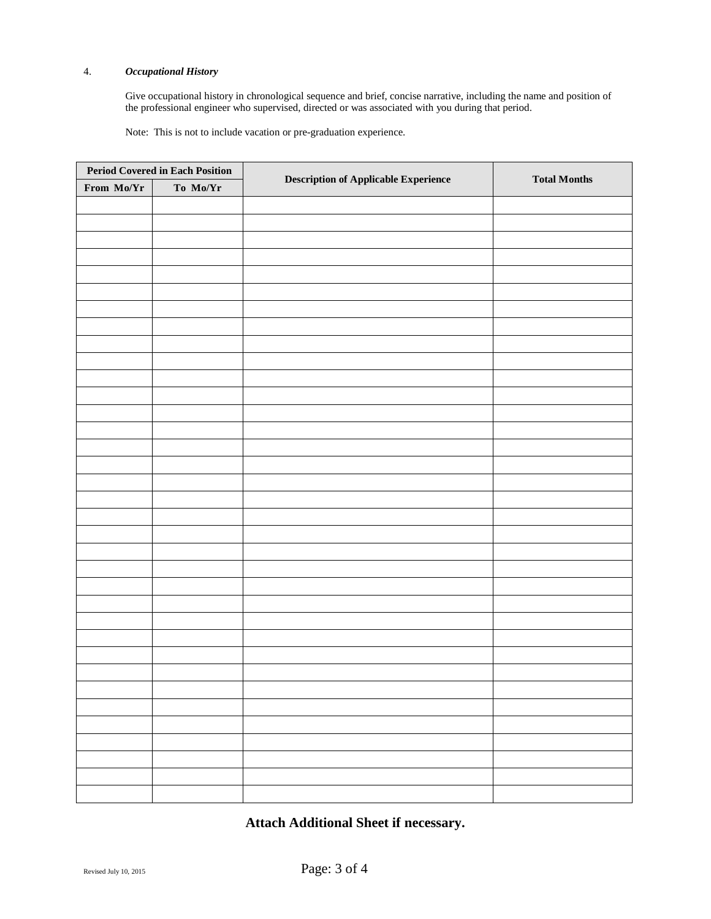## 4. *Occupational History*

Give occupational history in chronological sequence and brief, concise narrative, including the name and position of the professional engineer who supervised, directed or was associated with you during that period.

Note: You may include up to one year of pre-graduation experience, upon completion of 50% of the engineering program.

| <b>Period Covered in Each Position</b> |          |                                             | <b>Total Months</b> |  |
|----------------------------------------|----------|---------------------------------------------|---------------------|--|
| From Mo/Yr                             | To Mo/Yr | <b>Description of Applicable Experience</b> |                     |  |
|                                        |          |                                             |                     |  |
|                                        |          |                                             |                     |  |
|                                        |          |                                             |                     |  |
|                                        |          |                                             |                     |  |
|                                        |          |                                             |                     |  |
|                                        |          |                                             |                     |  |
|                                        |          |                                             |                     |  |
|                                        |          |                                             |                     |  |
|                                        |          |                                             |                     |  |
|                                        |          |                                             |                     |  |
|                                        |          |                                             |                     |  |
|                                        |          |                                             |                     |  |
|                                        |          |                                             |                     |  |
|                                        |          |                                             |                     |  |
|                                        |          |                                             |                     |  |
|                                        |          |                                             |                     |  |
|                                        |          |                                             |                     |  |
|                                        |          |                                             |                     |  |
|                                        |          |                                             |                     |  |
|                                        |          |                                             |                     |  |
|                                        |          |                                             |                     |  |
|                                        |          |                                             |                     |  |
|                                        |          |                                             |                     |  |
|                                        |          |                                             |                     |  |
|                                        |          |                                             |                     |  |
|                                        |          |                                             |                     |  |
|                                        |          |                                             |                     |  |
|                                        |          |                                             |                     |  |
|                                        |          |                                             |                     |  |
|                                        |          |                                             |                     |  |
|                                        |          |                                             |                     |  |
|                                        |          |                                             |                     |  |
|                                        |          |                                             |                     |  |
|                                        |          |                                             |                     |  |
|                                        |          |                                             |                     |  |

**Attach Additional Sheet if necessary.**